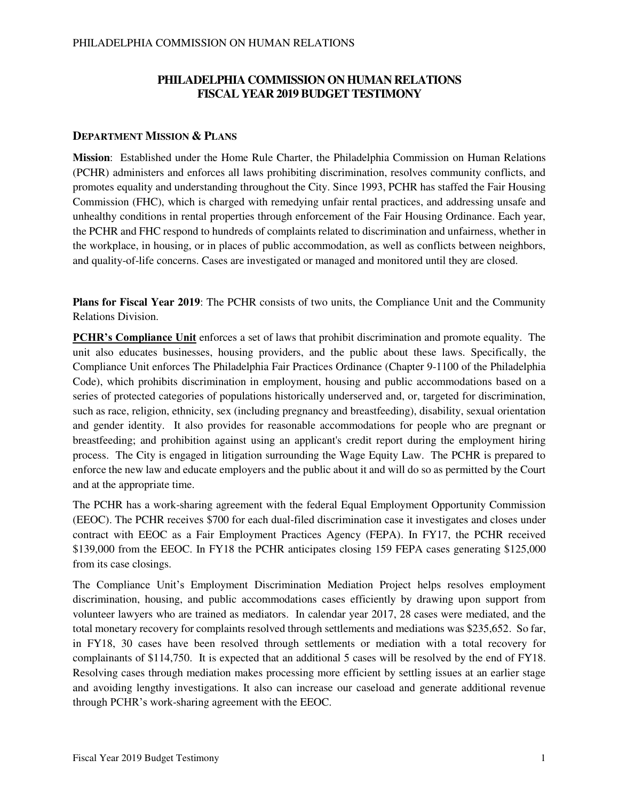# **PHILADELPHIA COMMISSION ON HUMAN RELATIONS FISCAL YEAR 2019 BUDGET TESTIMONY**

### **DEPARTMENT MISSION & PLANS**

**Mission**: Established under the Home Rule Charter, the Philadelphia Commission on Human Relations (PCHR) administers and enforces all laws prohibiting discrimination, resolves community conflicts, and promotes equality and understanding throughout the City. Since 1993, PCHR has staffed the Fair Housing Commission (FHC), which is charged with remedying unfair rental practices, and addressing unsafe and unhealthy conditions in rental properties through enforcement of the Fair Housing Ordinance. Each year, the PCHR and FHC respond to hundreds of complaints related to discrimination and unfairness, whether in the workplace, in housing, or in places of public accommodation, as well as conflicts between neighbors, and quality-of-life concerns. Cases are investigated or managed and monitored until they are closed.

**Plans for Fiscal Year 2019**: The PCHR consists of two units, the Compliance Unit and the Community Relations Division.

**PCHR's Compliance Unit** enforces a set of laws that prohibit discrimination and promote equality. The unit also educates businesses, housing providers, and the public about these laws. Specifically, the Compliance Unit enforces The Philadelphia Fair Practices Ordinance (Chapter 9-1100 of the Philadelphia Code), which prohibits discrimination in employment, housing and public accommodations based on a series of protected categories of populations historically underserved and, or, targeted for discrimination, such as race, religion, ethnicity, sex (including pregnancy and breastfeeding), disability, sexual orientation and gender identity. It also provides for reasonable accommodations for people who are pregnant or breastfeeding; and prohibition against using an applicant's credit report during the employment hiring process. The City is engaged in litigation surrounding the Wage Equity Law. The PCHR is prepared to enforce the new law and educate employers and the public about it and will do so as permitted by the Court and at the appropriate time.

The PCHR has a work-sharing agreement with the federal Equal Employment Opportunity Commission (EEOC). The PCHR receives \$700 for each dual-filed discrimination case it investigates and closes under contract with EEOC as a Fair Employment Practices Agency (FEPA). In FY17, the PCHR received \$139,000 from the EEOC. In FY18 the PCHR anticipates closing 159 FEPA cases generating \$125,000 from its case closings.

The Compliance Unit's Employment Discrimination Mediation Project helps resolves employment discrimination, housing, and public accommodations cases efficiently by drawing upon support from volunteer lawyers who are trained as mediators. In calendar year 2017, 28 cases were mediated, and the total monetary recovery for complaints resolved through settlements and mediations was \$235,652. So far, in FY18, 30 cases have been resolved through settlements or mediation with a total recovery for complainants of \$114,750. It is expected that an additional 5 cases will be resolved by the end of FY18. Resolving cases through mediation makes processing more efficient by settling issues at an earlier stage and avoiding lengthy investigations. It also can increase our caseload and generate additional revenue through PCHR's work-sharing agreement with the EEOC.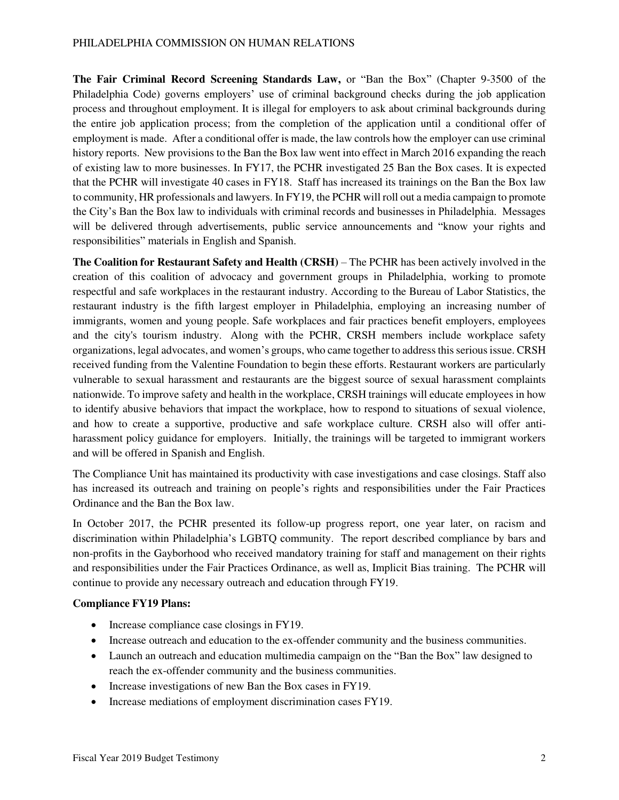**The Fair Criminal Record Screening Standards Law,** or "Ban the Box" (Chapter 9-3500 of the Philadelphia Code) governs employers' use of criminal background checks during the job application process and throughout employment. It is illegal for employers to ask about criminal backgrounds during the entire job application process; from the completion of the application until a conditional offer of employment is made. After a conditional offer is made, the law controls how the employer can use criminal history reports. New provisions to the Ban the Box law went into effect in March 2016 expanding the reach of existing law to more businesses. In FY17, the PCHR investigated 25 Ban the Box cases. It is expected that the PCHR will investigate 40 cases in FY18. Staff has increased its trainings on the Ban the Box law to community, HR professionals and lawyers. In FY19, the PCHR will roll out a media campaign to promote the City's Ban the Box law to individuals with criminal records and businesses in Philadelphia. Messages will be delivered through advertisements, public service announcements and "know your rights and responsibilities" materials in English and Spanish.

**The Coalition for Restaurant Safety and Health (CRSH)** – The PCHR has been actively involved in the creation of this coalition of advocacy and government groups in Philadelphia, working to promote respectful and safe workplaces in the restaurant industry. According to the Bureau of Labor Statistics, the restaurant industry is the fifth largest employer in Philadelphia, employing an increasing number of immigrants, women and young people. Safe workplaces and fair practices benefit employers, employees and the city's tourism industry. Along with the PCHR, CRSH members include workplace safety organizations, legal advocates, and women's groups, who came together to address this serious issue. CRSH received funding from the Valentine Foundation to begin these efforts. Restaurant workers are particularly vulnerable to sexual harassment and restaurants are the biggest source of sexual harassment complaints nationwide. To improve safety and health in the workplace, CRSH trainings will educate employees in how to identify abusive behaviors that impact the workplace, how to respond to situations of sexual violence, and how to create a supportive, productive and safe workplace culture. CRSH also will offer antiharassment policy guidance for employers. Initially, the trainings will be targeted to immigrant workers and will be offered in Spanish and English.

The Compliance Unit has maintained its productivity with case investigations and case closings. Staff also has increased its outreach and training on people's rights and responsibilities under the Fair Practices Ordinance and the Ban the Box law.

In October 2017, the PCHR presented its follow-up progress report, one year later, on racism and discrimination within Philadelphia's LGBTQ community. The report described compliance by bars and non-profits in the Gayborhood who received mandatory training for staff and management on their rights and responsibilities under the Fair Practices Ordinance, as well as, Implicit Bias training. The PCHR will continue to provide any necessary outreach and education through FY19.

#### **Compliance FY19 Plans:**

- Increase compliance case closings in FY19.
- Increase outreach and education to the ex-offender community and the business communities.
- Launch an outreach and education multimedia campaign on the "Ban the Box" law designed to reach the ex-offender community and the business communities.
- Increase investigations of new Ban the Box cases in FY19.
- Increase mediations of employment discrimination cases FY19.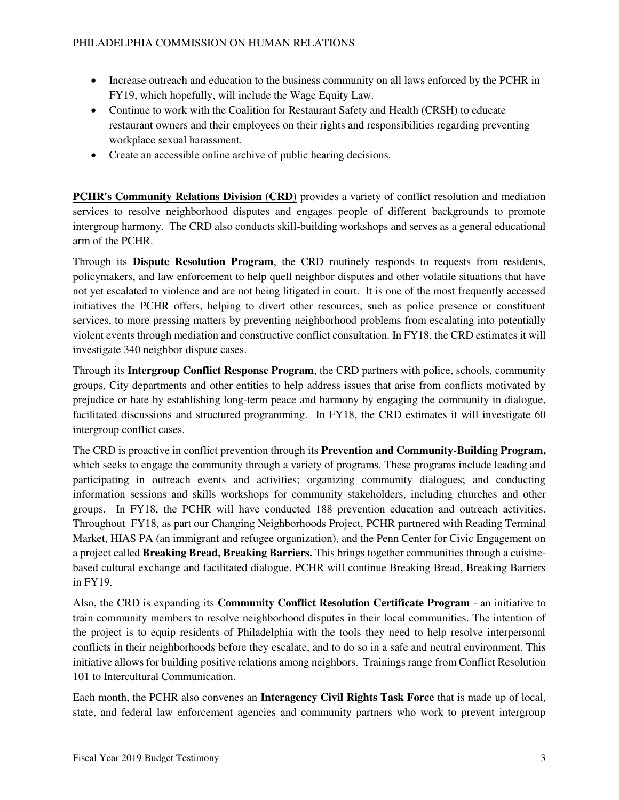- Increase outreach and education to the business community on all laws enforced by the PCHR in FY19, which hopefully, will include the Wage Equity Law.
- Continue to work with the Coalition for Restaurant Safety and Health (CRSH) to educate restaurant owners and their employees on their rights and responsibilities regarding preventing workplace sexual harassment.
- Create an accessible online archive of public hearing decisions.

**PCHR's Community Relations Division (CRD)** provides a variety of conflict resolution and mediation services to resolve neighborhood disputes and engages people of different backgrounds to promote intergroup harmony. The CRD also conducts skill-building workshops and serves as a general educational arm of the PCHR.

Through its **Dispute Resolution Program**, the CRD routinely responds to requests from residents, policymakers, and law enforcement to help quell neighbor disputes and other volatile situations that have not yet escalated to violence and are not being litigated in court. It is one of the most frequently accessed initiatives the PCHR offers, helping to divert other resources, such as police presence or constituent services, to more pressing matters by preventing neighborhood problems from escalating into potentially violent events through mediation and constructive conflict consultation. In FY18, the CRD estimates it will investigate 340 neighbor dispute cases.

Through its **Intergroup Conflict Response Program**, the CRD partners with police, schools, community groups, City departments and other entities to help address issues that arise from conflicts motivated by prejudice or hate by establishing long-term peace and harmony by engaging the community in dialogue, facilitated discussions and structured programming. In FY18, the CRD estimates it will investigate 60 intergroup conflict cases.

The CRD is proactive in conflict prevention through its **Prevention and Community-Building Program,** which seeks to engage the community through a variety of programs. These programs include leading and participating in outreach events and activities; organizing community dialogues; and conducting information sessions and skills workshops for community stakeholders, including churches and other groups. In FY18, the PCHR will have conducted 188 prevention education and outreach activities. Throughout FY18, as part our Changing Neighborhoods Project, PCHR partnered with Reading Terminal Market, HIAS PA (an immigrant and refugee organization), and the Penn Center for Civic Engagement on a project called **Breaking Bread, Breaking Barriers.** This brings together communities through a cuisinebased cultural exchange and facilitated dialogue. PCHR will continue Breaking Bread, Breaking Barriers in FY19.

Also, the CRD is expanding its **Community Conflict Resolution Certificate Program** - an initiative to train community members to resolve neighborhood disputes in their local communities. The intention of the project is to equip residents of Philadelphia with the tools they need to help resolve interpersonal conflicts in their neighborhoods before they escalate, and to do so in a safe and neutral environment. This initiative allows for building positive relations among neighbors. Trainings range from Conflict Resolution 101 to Intercultural Communication.

Each month, the PCHR also convenes an **Interagency Civil Rights Task Force** that is made up of local, state, and federal law enforcement agencies and community partners who work to prevent intergroup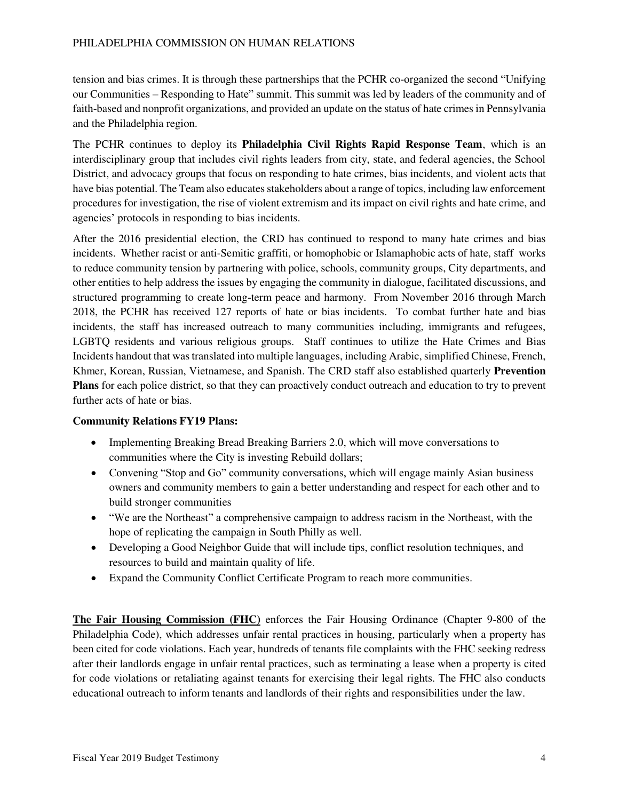tension and bias crimes. It is through these partnerships that the PCHR co-organized the second "Unifying our Communities – Responding to Hate" summit. This summit was led by leaders of the community and of faith-based and nonprofit organizations, and provided an update on the status of hate crimes in Pennsylvania and the Philadelphia region.

The PCHR continues to deploy its **Philadelphia Civil Rights Rapid Response Team**, which is an interdisciplinary group that includes civil rights leaders from city, state, and federal agencies, the School District, and advocacy groups that focus on responding to hate crimes, bias incidents, and violent acts that have bias potential. The Team also educates stakeholders about a range of topics, including law enforcement procedures for investigation, the rise of violent extremism and its impact on civil rights and hate crime, and agencies' protocols in responding to bias incidents.

After the 2016 presidential election, the CRD has continued to respond to many hate crimes and bias incidents. Whether racist or anti-Semitic graffiti, or homophobic or Islamaphobic acts of hate, staff works to reduce community tension by partnering with police, schools, community groups, City departments, and other entities to help address the issues by engaging the community in dialogue, facilitated discussions, and structured programming to create long-term peace and harmony. From November 2016 through March 2018, the PCHR has received 127 reports of hate or bias incidents. To combat further hate and bias incidents, the staff has increased outreach to many communities including, immigrants and refugees, LGBTQ residents and various religious groups. Staff continues to utilize the Hate Crimes and Bias Incidents handout that was translated into multiple languages, including Arabic, simplified Chinese, French, Khmer, Korean, Russian, Vietnamese, and Spanish. The CRD staff also established quarterly **Prevention Plans** for each police district, so that they can proactively conduct outreach and education to try to prevent further acts of hate or bias.

## **Community Relations FY19 Plans:**

- Implementing Breaking Bread Breaking Barriers 2.0, which will move conversations to communities where the City is investing Rebuild dollars;
- Convening "Stop and Go" community conversations, which will engage mainly Asian business owners and community members to gain a better understanding and respect for each other and to build stronger communities
- "We are the Northeast" a comprehensive campaign to address racism in the Northeast, with the hope of replicating the campaign in South Philly as well.
- Developing a Good Neighbor Guide that will include tips, conflict resolution techniques, and resources to build and maintain quality of life.
- Expand the Community Conflict Certificate Program to reach more communities.

**The Fair Housing Commission (FHC)** enforces the Fair Housing Ordinance (Chapter 9-800 of the Philadelphia Code), which addresses unfair rental practices in housing, particularly when a property has been cited for code violations. Each year, hundreds of tenants file complaints with the FHC seeking redress after their landlords engage in unfair rental practices, such as terminating a lease when a property is cited for code violations or retaliating against tenants for exercising their legal rights. The FHC also conducts educational outreach to inform tenants and landlords of their rights and responsibilities under the law.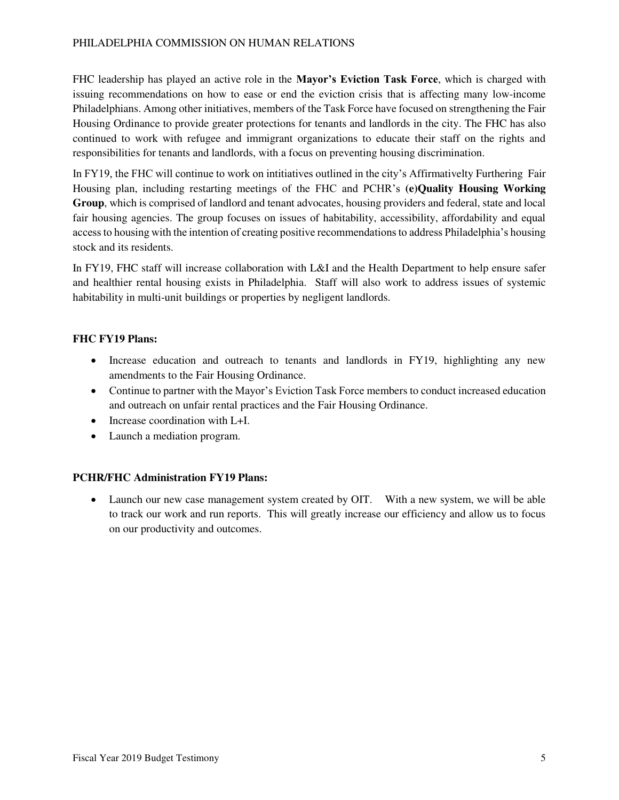FHC leadership has played an active role in the **Mayor's Eviction Task Force**, which is charged with issuing recommendations on how to ease or end the eviction crisis that is affecting many low-income Philadelphians. Among other initiatives, members of the Task Force have focused on strengthening the Fair Housing Ordinance to provide greater protections for tenants and landlords in the city. The FHC has also continued to work with refugee and immigrant organizations to educate their staff on the rights and responsibilities for tenants and landlords, with a focus on preventing housing discrimination.

In FY19, the FHC will continue to work on intitiatives outlined in the city's Affirmativelty Furthering Fair Housing plan, including restarting meetings of the FHC and PCHR's **(e)Quality Housing Working Group**, which is comprised of landlord and tenant advocates, housing providers and federal, state and local fair housing agencies. The group focuses on issues of habitability, accessibility, affordability and equal access to housing with the intention of creating positive recommendations to address Philadelphia's housing stock and its residents.

In FY19, FHC staff will increase collaboration with L&I and the Health Department to help ensure safer and healthier rental housing exists in Philadelphia. Staff will also work to address issues of systemic habitability in multi-unit buildings or properties by negligent landlords.

## **FHC FY19 Plans:**

- Increase education and outreach to tenants and landlords in FY19, highlighting any new amendments to the Fair Housing Ordinance.
- Continue to partner with the Mayor's Eviction Task Force members to conduct increased education and outreach on unfair rental practices and the Fair Housing Ordinance.
- Increase coordination with L+I.
- Launch a mediation program.

## **PCHR/FHC Administration FY19 Plans:**

• Launch our new case management system created by OIT. With a new system, we will be able to track our work and run reports. This will greatly increase our efficiency and allow us to focus on our productivity and outcomes.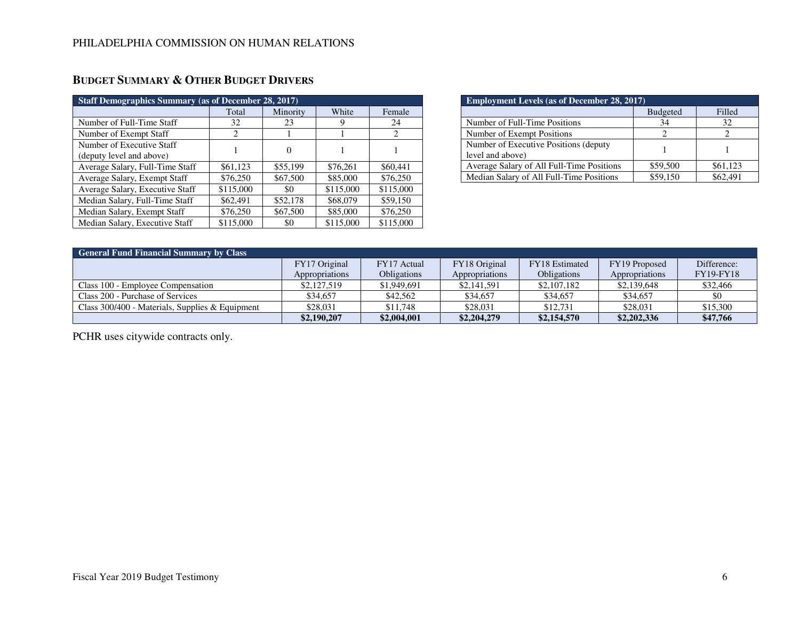| <b>Staff Demographics Summary (as of December 28, 2017)</b> |                               |          |           |                             |  |  |
|-------------------------------------------------------------|-------------------------------|----------|-----------|-----------------------------|--|--|
|                                                             | Total                         | Minority | White     | Female                      |  |  |
| Number of Full-Time Staff                                   | 32                            | 23       |           | 24                          |  |  |
| Number of Exempt Staff                                      | $\mathfrak{D}_{\mathfrak{p}}$ |          |           | $\mathcal{D}_{\mathcal{L}}$ |  |  |
| Number of Executive Staff                                   |                               | $\theta$ |           |                             |  |  |
| (deputy level and above)                                    |                               |          |           |                             |  |  |
| Average Salary, Full-Time Staff                             | \$61,123                      | \$55,199 | \$76,261  | \$60,441                    |  |  |
| Average Salary, Exempt Staff                                | \$76,250                      | \$67,500 | \$85,000  | \$76,250                    |  |  |
| Average Salary, Executive Staff                             | \$115,000                     | \$0      | \$115,000 | \$115,000                   |  |  |
| Median Salary, Full-Time Staff                              | \$62,491                      | \$52,178 | \$68,079  | \$59,150                    |  |  |
| Median Salary, Exempt Staff                                 | \$76,250                      | \$67,500 | \$85,000  | \$76,250                    |  |  |
| Median Salary, Executive Staff                              | \$115,000                     | \$0      | \$115,000 | \$115,000                   |  |  |

|  | <b>BUDGET SUMMARY &amp; OTHER BUDGET DRIVERS</b> |
|--|--------------------------------------------------|
|--|--------------------------------------------------|

| <b>Employment Levels (as of December 28, 2017)</b>         |                 |          |  |  |
|------------------------------------------------------------|-----------------|----------|--|--|
|                                                            | <b>Budgeted</b> | Filled   |  |  |
| Number of Full-Time Positions                              | 34              | 32       |  |  |
| Number of Exempt Positions                                 |                 |          |  |  |
| Number of Executive Positions (deputy)<br>level and above) |                 |          |  |  |
| Average Salary of All Full-Time Positions                  | \$59,500        | \$61,123 |  |  |
| Median Salary of All Full-Time Positions                   | \$59,150        | \$62.491 |  |  |

| <b>General Fund Financial Summary by Class</b>    |                |                    |                |                    |                |                  |
|---------------------------------------------------|----------------|--------------------|----------------|--------------------|----------------|------------------|
|                                                   | FY17 Original  | FY17 Actual        | FY18 Original  | FY18 Estimated     | FY19 Proposed  | Difference:      |
|                                                   | Appropriations | <b>Obligations</b> | Appropriations | <b>Obligations</b> | Appropriations | <b>FY19-FY18</b> |
| Class 100 - Employee Compensation                 | \$2,127,519    | \$1,949,691        | \$2,141,591    | \$2,107,182        | \$2,139,648    | \$32,466         |
| Class 200 - Purchase of Services                  | \$34.657       | \$42,562           | \$34,657       | \$34.657           | \$34,657       | \$0              |
| Class $300/400$ - Materials, Supplies & Equipment | \$28,031       | \$11,748           | \$28,031       | \$12,731           | \$28,031       | \$15,300         |
|                                                   | \$2,190,207    | \$2,004,001        | \$2,204,279    | \$2,154,570        | \$2,202,336    | \$47,766         |

PCHR uses citywide contracts only.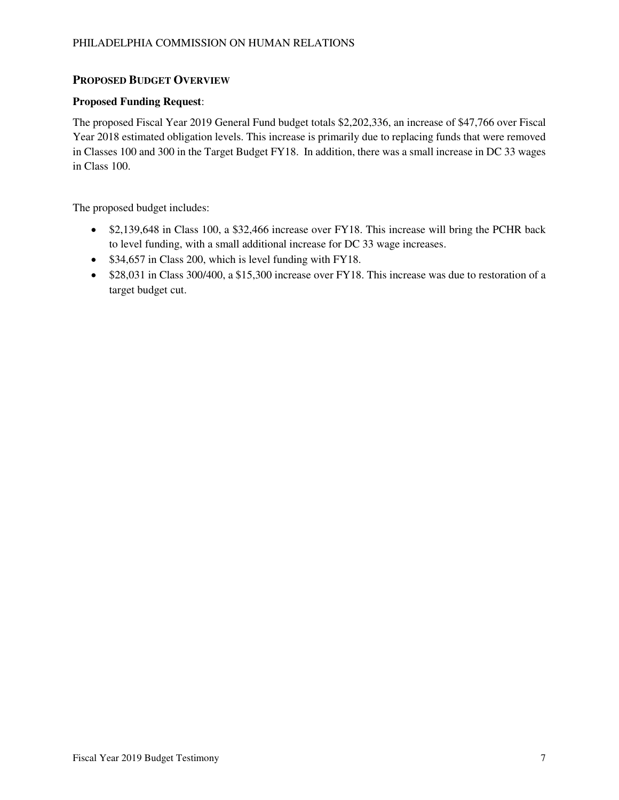## **PROPOSED BUDGET OVERVIEW**

### **Proposed Funding Request**:

The proposed Fiscal Year 2019 General Fund budget totals \$2,202,336, an increase of \$47,766 over Fiscal Year 2018 estimated obligation levels. This increase is primarily due to replacing funds that were removed in Classes 100 and 300 in the Target Budget FY18. In addition, there was a small increase in DC 33 wages in Class 100.

The proposed budget includes:

- \$2,139,648 in Class 100, a \$32,466 increase over FY18. This increase will bring the PCHR back to level funding, with a small additional increase for DC 33 wage increases.
- \$34,657 in Class 200, which is level funding with FY18.
- \$28,031 in Class 300/400, a \$15,300 increase over FY18. This increase was due to restoration of a target budget cut.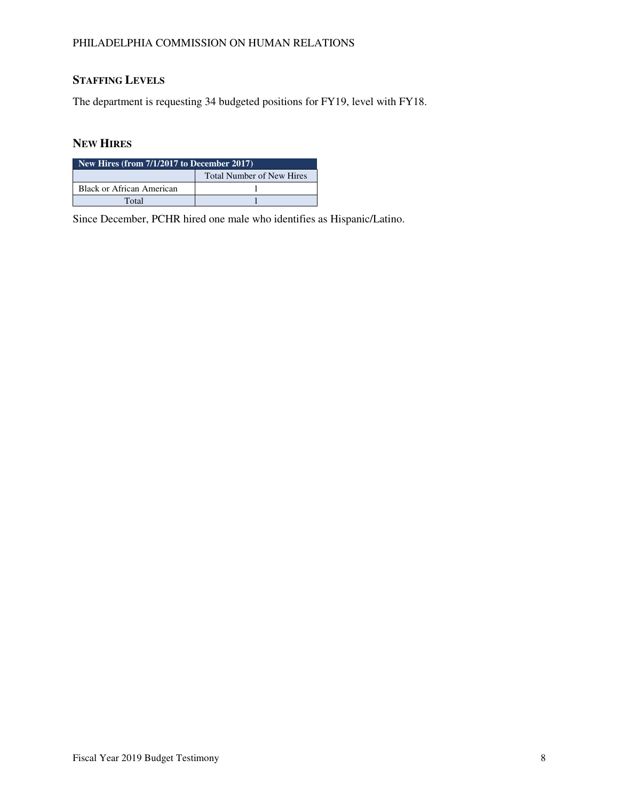# **STAFFING LEVELS**

The department is requesting 34 budgeted positions for FY19, level with FY18.

# **NEW HIRES**

| New Hires (from $7/1/2017$ to December 2017) |  |  |  |  |
|----------------------------------------------|--|--|--|--|
| <b>Total Number of New Hires</b>             |  |  |  |  |
| Black or African American                    |  |  |  |  |
| Total                                        |  |  |  |  |

Since December, PCHR hired one male who identifies as Hispanic/Latino.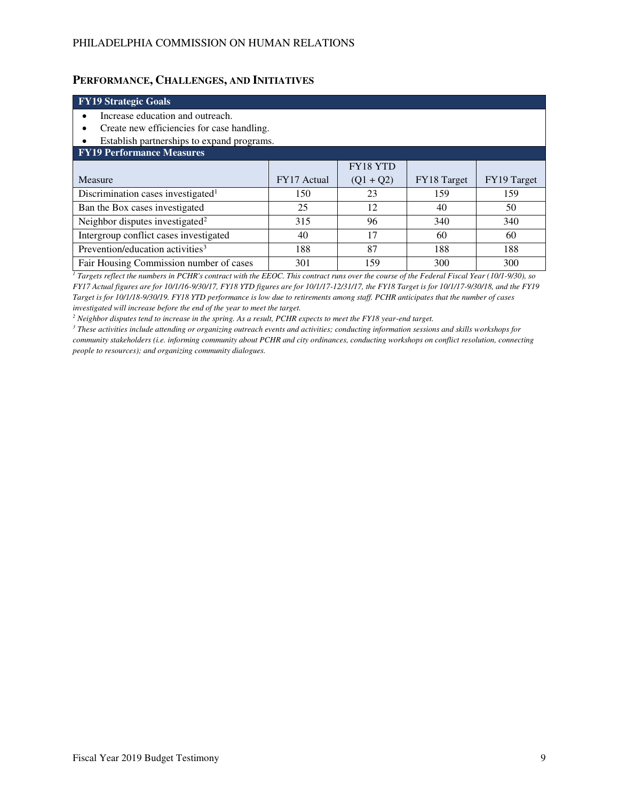### **PERFORMANCE, CHALLENGES, AND INITIATIVES**

### **FY19 Strategic Goals**  • Increase education and outreach. • Create new efficiencies for case handling. • Establish partnerships to expand programs. **FY19 Performance Measures**  Measure FY17 Actual FY18 YTD  $(Q1 + Q2)$  FY18 Target FY19 Target Discrimination cases investigated<sup>1</sup> 150 23 159 159 Ban the Box cases investigated 25 12 40 50 Neighbor disputes investigated<sup>2</sup> 315 96 340 340 Intergroup conflict cases investigated  $\begin{vmatrix} 40 & 17 & 60 \\ 40 & 17 & 60 \end{vmatrix}$ Prevention/education activities<sup>3</sup> 188 188 188 188 188 Fair Housing Commission number of cases 301 159 300 300 300

*1 Targets reflect the numbers in PCHR's contract with the EEOC. This contract runs over the course of the Federal Fiscal Year (10/1-9/30), so FY17 Actual figures are for 10/1/16-9/30/17, FY18 YTD figures are for 10/1/17-12/31/17, the FY18 Target is for 10/1/17-9/30/18, and the FY19 Target is for 10/1/18-9/30/19. FY18 YTD performance is low due to retirements among staff. PCHR anticipates that the number of cases investigated will increase before the end of the year to meet the target.* 

*2 Neighbor disputes tend to increase in the spring. As a result, PCHR expects to meet the FY18 year-end target.* 

*3 These activities include attending or organizing outreach events and activities; conducting information sessions and skills workshops for community stakeholders (i.e. informing community about PCHR and city ordinances, conducting workshops on conflict resolution, connecting people to resources); and organizing community dialogues.*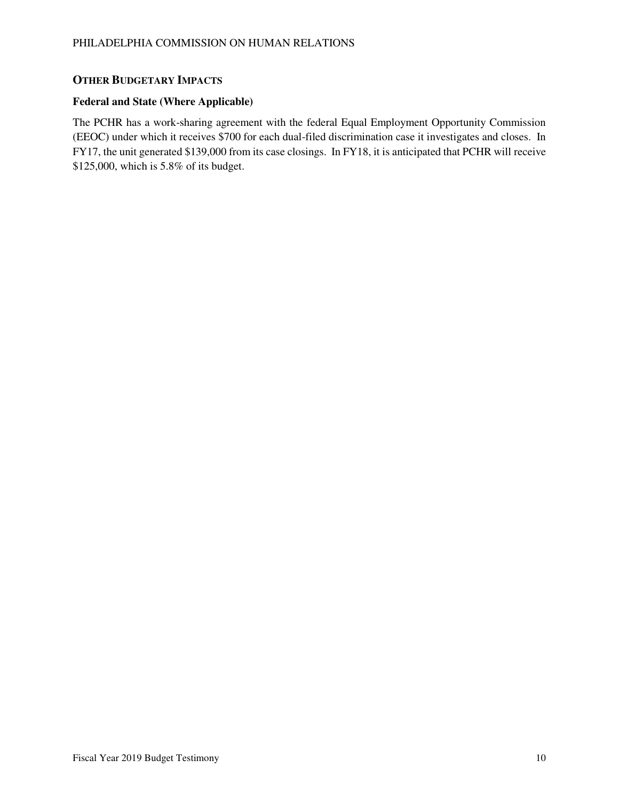# **OTHER BUDGETARY IMPACTS**

#### **Federal and State (Where Applicable)**

The PCHR has a work-sharing agreement with the federal Equal Employment Opportunity Commission (EEOC) under which it receives \$700 for each dual-filed discrimination case it investigates and closes. In FY17, the unit generated \$139,000 from its case closings. In FY18, it is anticipated that PCHR will receive \$125,000, which is 5.8% of its budget.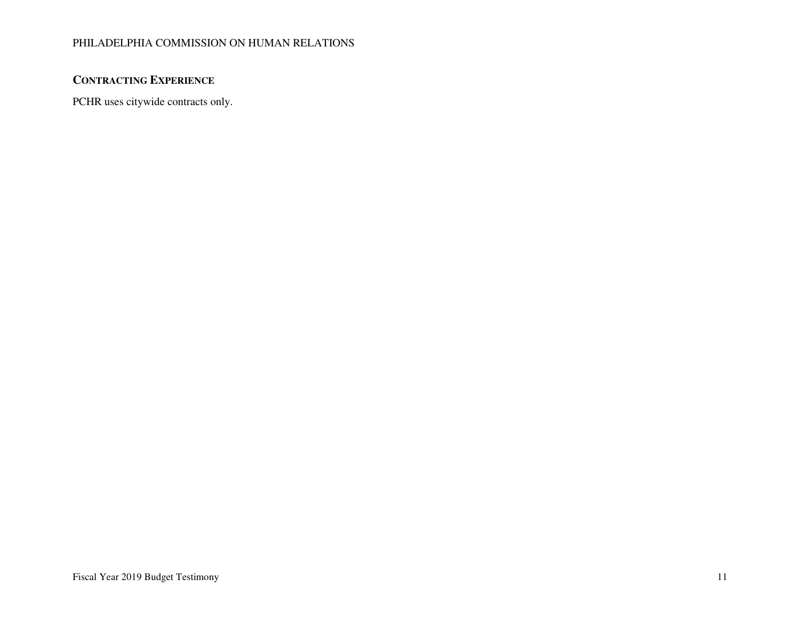# **CONTRACTING EXPERIENCE**

PCHR uses citywide contracts only.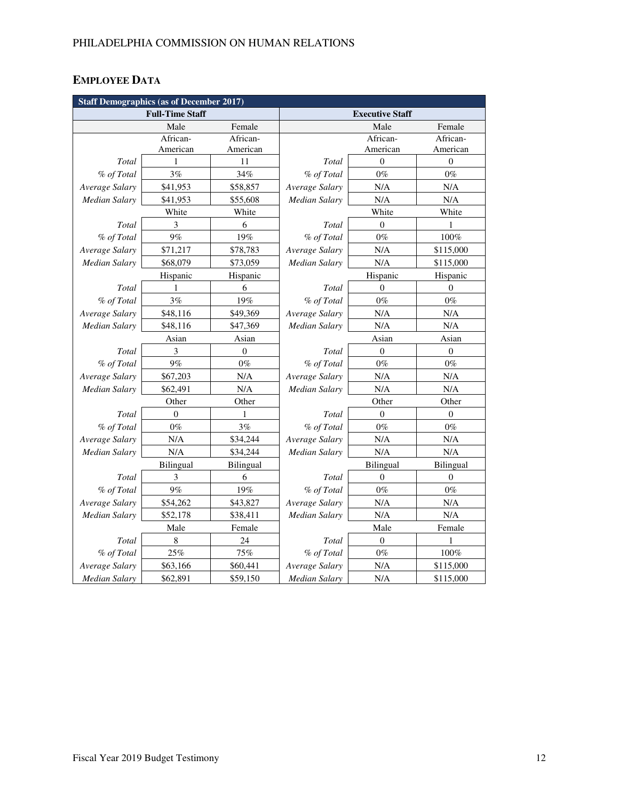# **EMPLOYEE DATA**

| <b>Staff Demographics (as of December 2017)</b> |                  |                  |                        |                  |                  |  |
|-------------------------------------------------|------------------|------------------|------------------------|------------------|------------------|--|
| <b>Full-Time Staff</b>                          |                  |                  | <b>Executive Staff</b> |                  |                  |  |
|                                                 | Male             | Female           |                        | Male             | Female           |  |
|                                                 | African-         | African-         |                        | African-         | African-         |  |
|                                                 | American         | American         |                        | American         | American         |  |
| Total                                           | 1                | 11               | Total                  | $\overline{0}$   | $\mathbf{0}$     |  |
| % of Total                                      | 3%               | 34%              | % of Total             | $0\%$            | $0\%$            |  |
| Average Salary                                  | \$41,953         | \$58,857         | Average Salary         | N/A              | N/A              |  |
| <b>Median Salary</b>                            | \$41,953         | \$55,608         | Median Salary          | N/A              | N/A              |  |
|                                                 | White            | White            |                        | White            | White            |  |
| Total                                           | 3                | 6                | Total                  | $\mathbf{0}$     | 1                |  |
| % of Total                                      | 9%               | 19%              | % of Total             | $0\%$            | 100%             |  |
| Average Salary                                  | \$71,217         | \$78,783         | Average Salary         | N/A              | \$115,000        |  |
| Median Salary                                   | \$68,079         | \$73,059         | Median Salary          | N/A              | \$115,000        |  |
|                                                 | Hispanic         | Hispanic         |                        | Hispanic         | Hispanic         |  |
| Total                                           | 1                | 6                | Total                  | $\theta$         | $\theta$         |  |
| % of Total                                      | 3%               | 19%              | % of Total             | $0\%$            | $0\%$            |  |
| Average Salary                                  | \$48,116         | \$49,369         | Average Salary         | N/A              | N/A              |  |
| <b>Median Salary</b>                            | \$48,116         | \$47,369         | <b>Median Salary</b>   | N/A              | N/A              |  |
|                                                 | Asian            | Asian            |                        | Asian            | Asian            |  |
| Total                                           | 3                | $\boldsymbol{0}$ | Total                  | $\theta$         | $\boldsymbol{0}$ |  |
| % of Total                                      | 9%               | $0\%$            | % of Total             | $0\%$            | $0\%$            |  |
| Average Salary                                  | \$67,203         | N/A              | Average Salary         | N/A              | N/A              |  |
| Median Salary                                   | \$62,491         | N/A              | Median Salary          | N/A              | N/A              |  |
| Other<br>Other                                  |                  | Other<br>Other   |                        |                  |                  |  |
| Total                                           | $\mathbf{0}$     | 1                | Total                  | $\mathbf{0}$     | $\theta$         |  |
| % of Total                                      | $0\%$            | 3%               | % of Total             | $0\%$            | $0\%$            |  |
| Average Salary                                  | N/A              | \$34,244         | Average Salary         | N/A              | N/A              |  |
| Median Salary                                   | N/A              | \$34,244         | <b>Median Salary</b>   | N/A              | N/A              |  |
|                                                 | <b>Bilingual</b> | <b>Bilingual</b> |                        | <b>Bilingual</b> | <b>Bilingual</b> |  |
| Total                                           | 3                | 6                | Total                  | $\mathbf{0}$     | 0                |  |
| % of Total                                      | 9%               | 19%              | % of Total             | $0\%$            | $0\%$            |  |
| Average Salary                                  | \$54,262         | \$43,827         | Average Salary         | N/A              | $\rm N/A$        |  |
| <b>Median Salary</b>                            | \$52,178         | \$38,411         | <b>Median Salary</b>   | N/A              | N/A              |  |
|                                                 | Male             | Female           |                        | Male             | Female           |  |
| Total                                           | 8                | 24               | Total                  | $\mathbf{0}$     | 1                |  |
| % of Total                                      | 25%              | 75%              | % of Total             | $0\%$            | 100%             |  |
| Average Salary                                  | \$63,166         | \$60,441         | Average Salary         | N/A              | \$115,000        |  |
| Median Salary                                   | \$62,891         | \$59,150         | Median Salary          | N/A              | \$115,000        |  |